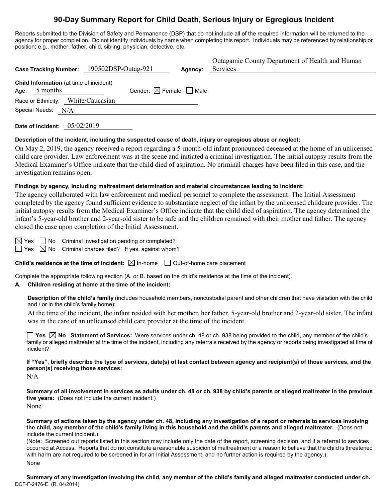# **90-Day Summary Report for Child Death, Serious Injury or Egregious Incident**

Reports submitted to the Division of Safety and Permanence (DSP) that do not include all of the required information will be returned to the agency for proper completion. Do not identify individuals by name when completing this report. Individuals may be referenced by relationship or position; e.g., mother, father, child, sibling, physician, detective, etc.

| <b>Case Tracking Number:</b> | 190502DSP-Outag-921                       |                                        | Agency: | Outagamie County Department of Health and Human<br>Services |
|------------------------------|-------------------------------------------|----------------------------------------|---------|-------------------------------------------------------------|
| 5 months<br>Age:             | Child Information (at time of incident)   | Gender: $\boxtimes$ Female $\Box$ Male |         |                                                             |
| Special Needs:               | Race or Ethnicity: White/Caucasian<br>N/A |                                        |         |                                                             |
|                              |                                           |                                        |         |                                                             |

**Date of Incident:** 05/02/2019

#### **Description of the incident, including the suspected cause of death, injury or egregious abuse or neglect:**

On May 2, 2019, the agency received a report regarding a 5-month-old infant pronounced deceased at the home of an unlicensed child care provider. Law enforcement was at the scene and initiated a criminal investigation. The initial autopsy results from the Medical Examiner's Office indicate that the child died of aspiration. No criminal charges have been filed in this case, and the investigation remains open.

#### **Findings by agency, including maltreatment determination and material circumstances leading to incident:**

The agency collaborated with law enforcement and medical personnel to complete the assessment. The Initial Assessment completed by the agency found sufficient evidence to substantiate neglect of the infant by the unlicensed childcare provider. The initial autopsy results from the Medical Examiner's Office indicate that the child died of aspiration. The agency determined the infant's 5-year-old brother and 2-year-old sister to be safe and the children remained with their mother and father. The agency closed the case upon completion of the Initial Assessment.

 $\boxtimes$  Yes  $\Box$  No Criminal investigation pending or completed?  $\Box$  Yes  $\boxtimes$  No Criminal charges filed? If yes, against whom?

**Child's residence at the time of incident:**  $\boxtimes$  In-home  $\Box$  Out-of-home care placement

Complete the appropriate following section (A. or B. based on the child's residence at the time of the incident).

#### **A. Children residing at home at the time of the incident:**

**Description of the child's family** (includes household members, noncustodial parent and other children that have visitation with the child and / or in the child's family home):

At the time of the incident, the infant resided with her mother, her father, 5-year-old brother and 2-year-old sister. The infant was in the care of an unlicensed child care provider at the time of the incident.

**Yes**  $\boxtimes$  **No** Statement of Services: Were services under ch. 48 or ch. 938 being provided to the child, any member of the child's family or alleged maltreater at the time of the incident, including any referrals received by the agency or reports being investigated at time of incident?

**If "Yes", briefly describe the type of services, date(s) of last contact between agency and recipient(s) of those services, and the person(s) receiving those services:**

N/A

**Summary of all involvement in services as adults under ch. 48 or ch. 938 by child's parents or alleged maltreater in the previous five years:** (Does not include the current incident.) None

**Summary of actions taken by the agency under ch. 48, including any investigation of a report or referrals to services involving the child, any member of the child's family living in this household and the child's parents and alleged maltreater.** (Does not include the current incident.)

(Note: Screened out reports listed in this section may include only the date of the report, screening decision, and if a referral to services occurred at Access. Reports that do not constitute a reasonable suspicion of maltreatment or a reason to believe that the child is threatened with harm are not required to be screened in for an Initial Assessment, and no further action is required by the agency.) None

DCF-F-2476-E (R. 04/2014) **Summary of any investigation involving the child, any member of the child's family and alleged maltreater conducted under ch.**